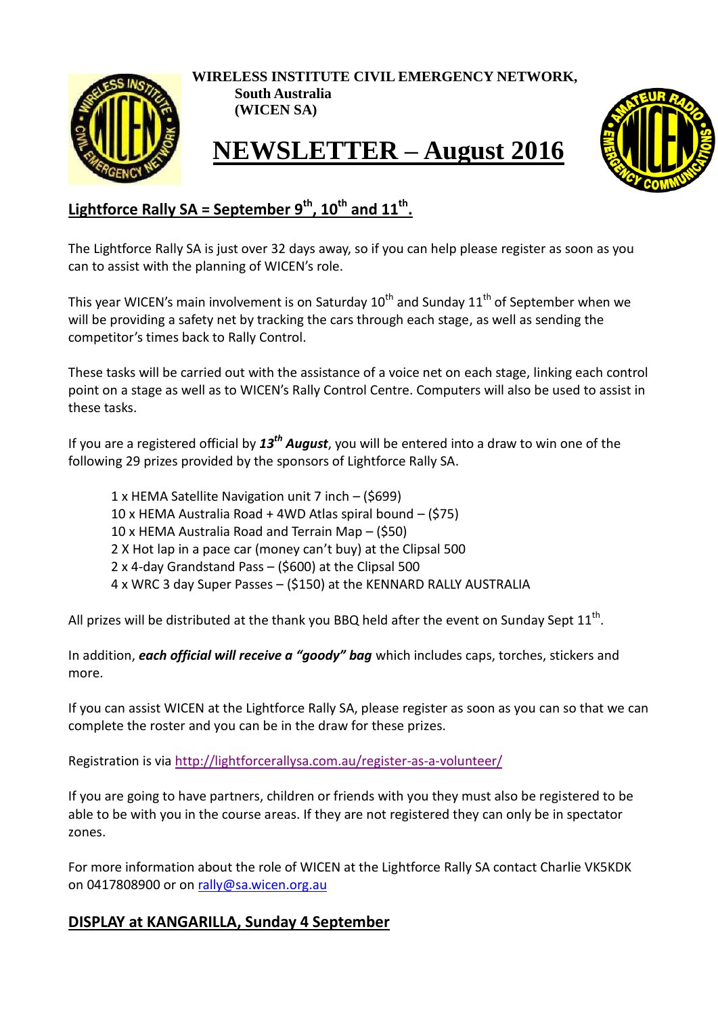

**WIRELESS INSTITUTE CIVIL EMERGENCY NETWORK,**

**South Australia (WICEN SA)**

## **NEWSLETTER – August 2016**



## **Lightforce Rally SA = September 9th, 10th and 11th .**

The Lightforce Rally SA is just over 32 days away, so if you can help please register as soon as you can to assist with the planning of WICEN's role.

This year WICEN's main involvement is on Saturday  $10<sup>th</sup>$  and Sunday  $11<sup>th</sup>$  of September when we will be providing a safety net by tracking the cars through each stage, as well as sending the competitor's times back to Rally Control.

These tasks will be carried out with the assistance of a voice net on each stage, linking each control point on a stage as well as to WICEN's Rally Control Centre. Computers will also be used to assist in these tasks.

If you are a registered official by *13th August*, you will be entered into a draw to win one of the following 29 prizes provided by the sponsors of Lightforce Rally SA.

1 x HEMA Satellite Navigation unit 7 inch – (\$699) 10 x HEMA Australia Road + 4WD Atlas spiral bound – (\$75) 10 x HEMA Australia Road and Terrain Map – (\$50) 2 X Hot lap in a pace car (money can't buy) at the Clipsal 500 2 x 4-day Grandstand Pass – (\$600) at the Clipsal 500 4 x WRC 3 day Super Passes – (\$150) at the KENNARD RALLY AUSTRALIA

All prizes will be distributed at the thank you BBQ held after the event on Sunday Sept 11<sup>th</sup>.

In addition, *each official will receive a "goody" bag* which includes caps, torches, stickers and more.

If you can assist WICEN at the Lightforce Rally SA, please register as soon as you can so that we can complete the roster and you can be in the draw for these prizes.

Registration is via<http://lightforcerallysa.com.au/register-as-a-volunteer/>

If you are going to have partners, children or friends with you they must also be registered to be able to be with you in the course areas. If they are not registered they can only be in spectator zones.

For more information about the role of WICEN at the Lightforce Rally SA contact Charlie VK5KDK on 0417808900 or on [rally@sa.wicen.org.au](mailto:rally@sa.wicen.org.au)

## **DISPLAY at KANGARILLA, Sunday 4 September**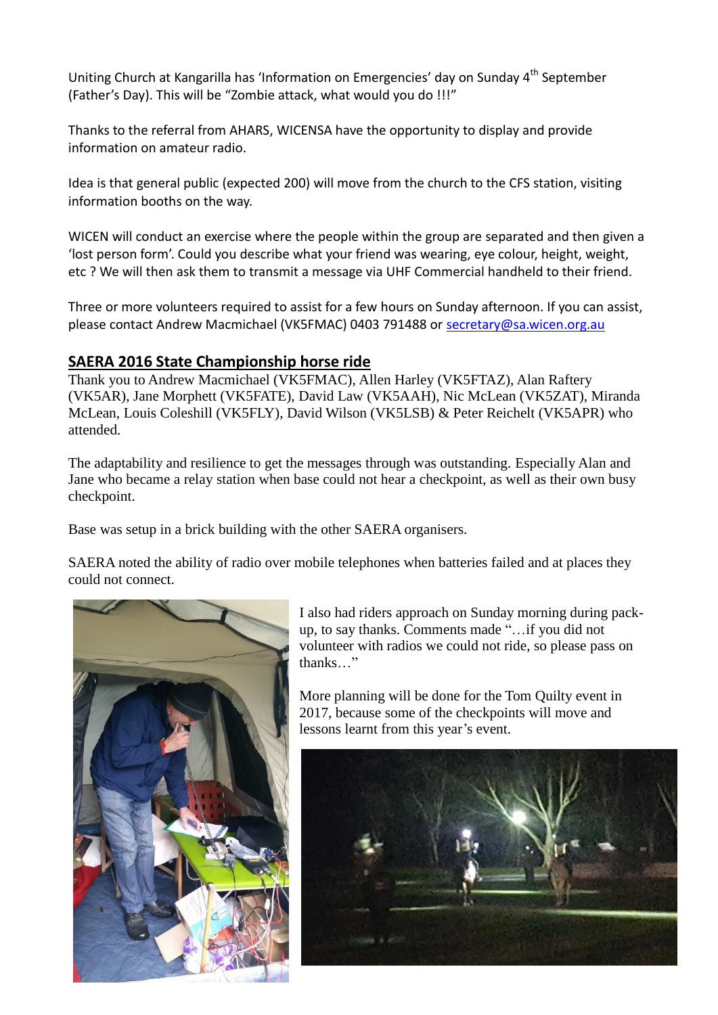Uniting Church at Kangarilla has 'Information on Emergencies' day on Sunday 4<sup>th</sup> September (Father's Day). This will be "Zombie attack, what would you do !!!"

Thanks to the referral from AHARS, WICENSA have the opportunity to display and provide information on amateur radio.

Idea is that general public (expected 200) will move from the church to the CFS station, visiting information booths on the way.

WICEN will conduct an exercise where the people within the group are separated and then given a 'lost person form'. Could you describe what your friend was wearing, eye colour, height, weight, etc ? We will then ask them to transmit a message via UHF Commercial handheld to their friend.

Three or more volunteers required to assist for a few hours on Sunday afternoon. If you can assist, please contact Andrew Macmichael (VK5FMAC) 0403 791488 or [secretary@sa.wicen.org.au](mailto:secretary@sa.wicen.org.au)

## **SAERA 2016 State Championship horse ride**

Thank you to Andrew Macmichael (VK5FMAC), Allen Harley (VK5FTAZ), Alan Raftery (VK5AR), Jane Morphett (VK5FATE), David Law (VK5AAH), Nic McLean (VK5ZAT), Miranda McLean, Louis Coleshill (VK5FLY), David Wilson (VK5LSB) & Peter Reichelt (VK5APR) who attended.

The adaptability and resilience to get the messages through was outstanding. Especially Alan and Jane who became a relay station when base could not hear a checkpoint, as well as their own busy checkpoint.

Base was setup in a brick building with the other SAERA organisers.

SAERA noted the ability of radio over mobile telephones when batteries failed and at places they could not connect.



I also had riders approach on Sunday morning during packup, to say thanks. Comments made "…if you did not volunteer with radios we could not ride, so please pass on thanks…"

More planning will be done for the Tom Quilty event in 2017, because some of the checkpoints will move and lessons learnt from this year's event.